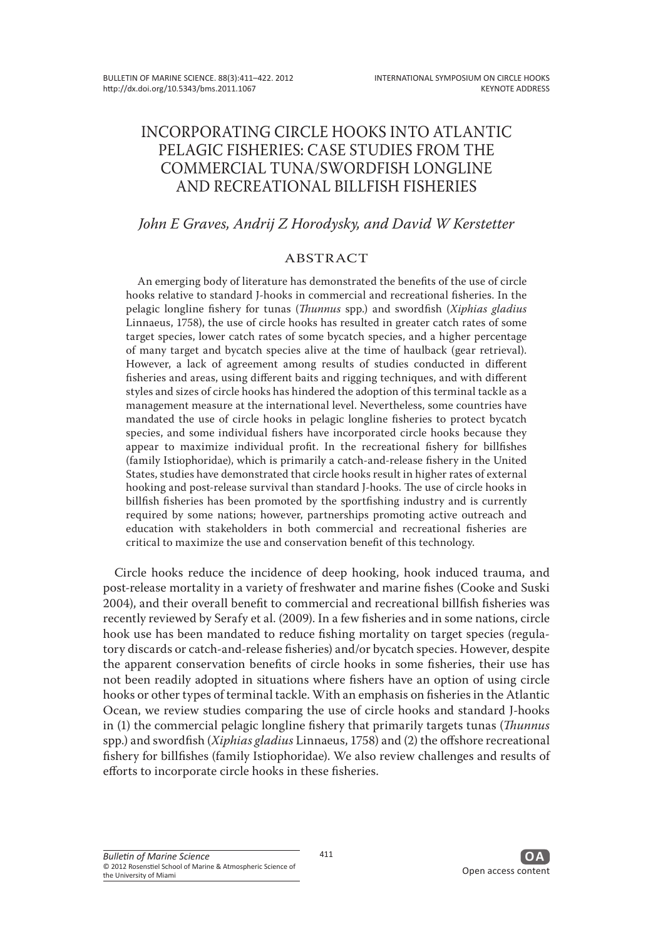# INCORPORATING CIRCLE HOOKS INTO ATLANTIC PELAGIC FISHERIES: CASE STUDIES FROM THE COMMERCIAL TUNA/SWORDFISH LONGLINE AND RECREATIONAL BILLFISH FISHERIES

## *John E Graves, Andrij Z Horodysky, and David W Kerstetter*

## ABSTRACT

An emerging body of literature has demonstrated the benefits of the use of circle hooks relative to standard J-hooks in commercial and recreational fisheries. In the pelagic longline fishery for tunas (*Thunnus* spp.) and swordfish (*Xiphias gladius*  Linnaeus, 1758), the use of circle hooks has resulted in greater catch rates of some target species, lower catch rates of some bycatch species, and a higher percentage of many target and bycatch species alive at the time of haulback (gear retrieval). However, a lack of agreement among results of studies conducted in different fisheries and areas, using different baits and rigging techniques, and with different styles and sizes of circle hooks has hindered the adoption of this terminal tackle as a management measure at the international level. Nevertheless, some countries have mandated the use of circle hooks in pelagic longline fisheries to protect bycatch species, and some individual fishers have incorporated circle hooks because they appear to maximize individual profit. In the recreational fishery for billfishes (family Istiophoridae), which is primarily a catch-and-release fishery in the United States, studies have demonstrated that circle hooks result in higher rates of external hooking and post-release survival than standard J-hooks. The use of circle hooks in billfish fisheries has been promoted by the sportfishing industry and is currently required by some nations; however, partnerships promoting active outreach and education with stakeholders in both commercial and recreational fisheries are critical to maximize the use and conservation benefit of this technology.

Circle hooks reduce the incidence of deep hooking, hook induced trauma, and post-release mortality in a variety of freshwater and marine fishes (Cooke and Suski 2004), and their overall benefit to commercial and recreational billfish fisheries was recently reviewed by Serafy et al. (2009). In a few fisheries and in some nations, circle hook use has been mandated to reduce fishing mortality on target species (regulatory discards or catch-and-release fisheries) and/or bycatch species. However, despite the apparent conservation benefits of circle hooks in some fisheries, their use has not been readily adopted in situations where fishers have an option of using circle hooks or other types of terminal tackle. With an emphasis on fisheries in the Atlantic Ocean, we review studies comparing the use of circle hooks and standard J-hooks in (1) the commercial pelagic longline fishery that primarily targets tunas (*Thunnus*  spp.) and swordfish (*Xiphias gladius* Linnaeus, 1758) and (2) the offshore recreational fishery for billfishes (family Istiophoridae). We also review challenges and results of efforts to incorporate circle hooks in these fisheries.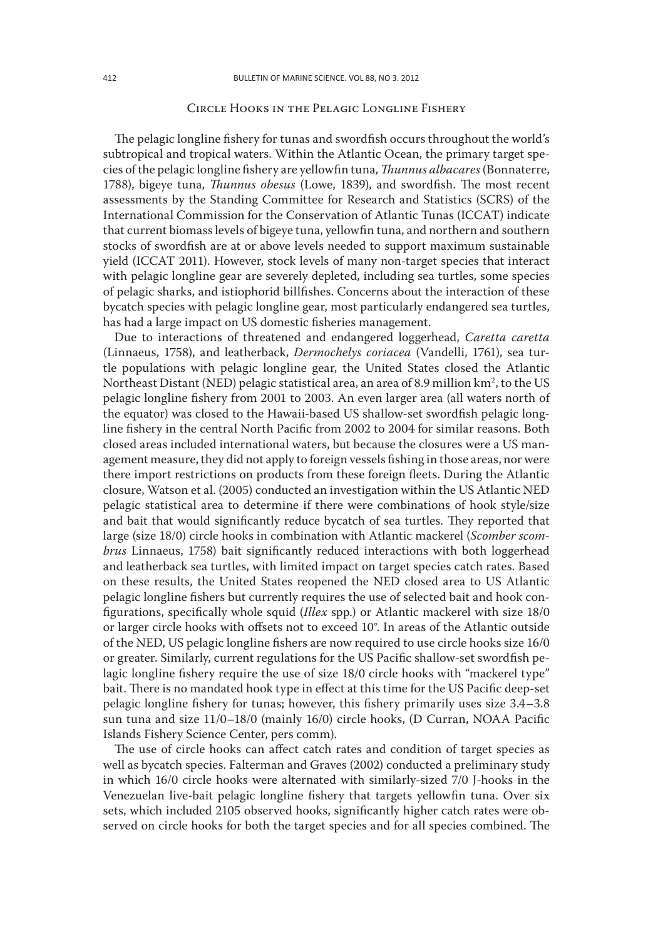### Circle Hooks in the Pelagic Longline Fishery

The pelagic longline fishery for tunas and swordfish occurs throughout the world's subtropical and tropical waters. Within the Atlantic Ocean, the primary target species of the pelagic longline fishery are yellowfin tuna, *Thunnus albacares* (Bonnaterre, 1788), bigeye tuna, *Thunnus obesus* (Lowe, 1839), and swordfish. The most recent assessments by the Standing Committee for Research and Statistics (SCRS) of the International Commission for the Conservation of Atlantic Tunas (ICCAT) indicate that current biomass levels of bigeye tuna, yellowfin tuna, and northern and southern stocks of swordfish are at or above levels needed to support maximum sustainable yield (ICCAT 2011). However, stock levels of many non-target species that interact with pelagic longline gear are severely depleted, including sea turtles, some species of pelagic sharks, and istiophorid billfishes. Concerns about the interaction of these bycatch species with pelagic longline gear, most particularly endangered sea turtles, has had a large impact on US domestic fisheries management.

Due to interactions of threatened and endangered loggerhead, *Caretta caretta*  (Linnaeus, 1758), and leatherback, *Dermochelys coriacea* (Vandelli, 1761), sea turtle populations with pelagic longline gear, the United States closed the Atlantic Northeast Distant (NED) pelagic statistical area, an area of 8.9 million km², to the US pelagic longline fishery from 2001 to 2003. An even larger area (all waters north of the equator) was closed to the Hawaii-based US shallow-set swordfish pelagic longline fishery in the central North Pacific from 2002 to 2004 for similar reasons. Both closed areas included international waters, but because the closures were a US management measure, they did not apply to foreign vessels fishing in those areas, nor were there import restrictions on products from these foreign fleets. During the Atlantic closure, Watson et al. (2005) conducted an investigation within the US Atlantic NED pelagic statistical area to determine if there were combinations of hook style/size and bait that would significantly reduce bycatch of sea turtles. They reported that large (size 18/0) circle hooks in combination with Atlantic mackerel (*Scomber scombrus* Linnaeus, 1758) bait significantly reduced interactions with both loggerhead and leatherback sea turtles, with limited impact on target species catch rates. Based on these results, the United States reopened the NED closed area to US Atlantic pelagic longline fishers but currently requires the use of selected bait and hook configurations, specifically whole squid (*Illex* spp.) or Atlantic mackerel with size 18/0 or larger circle hooks with offsets not to exceed 10°. In areas of the Atlantic outside of the NED, US pelagic longline fishers are now required to use circle hooks size 16/0 or greater. Similarly, current regulations for the US Pacific shallow-set swordfish pelagic longline fishery require the use of size 18/0 circle hooks with "mackerel type" bait. There is no mandated hook type in effect at this time for the US Pacific deep-set pelagic longline fishery for tunas; however, this fishery primarily uses size 3.4–3.8 sun tuna and size 11/0–18/0 (mainly 16/0) circle hooks, (D Curran, NOAA Pacific Islands Fishery Science Center, pers comm).

The use of circle hooks can affect catch rates and condition of target species as well as bycatch species. Falterman and Graves (2002) conducted a preliminary study in which 16/0 circle hooks were alternated with similarly-sized 7/0 J-hooks in the Venezuelan live-bait pelagic longline fishery that targets yellowfin tuna. Over six sets, which included 2105 observed hooks, significantly higher catch rates were observed on circle hooks for both the target species and for all species combined. The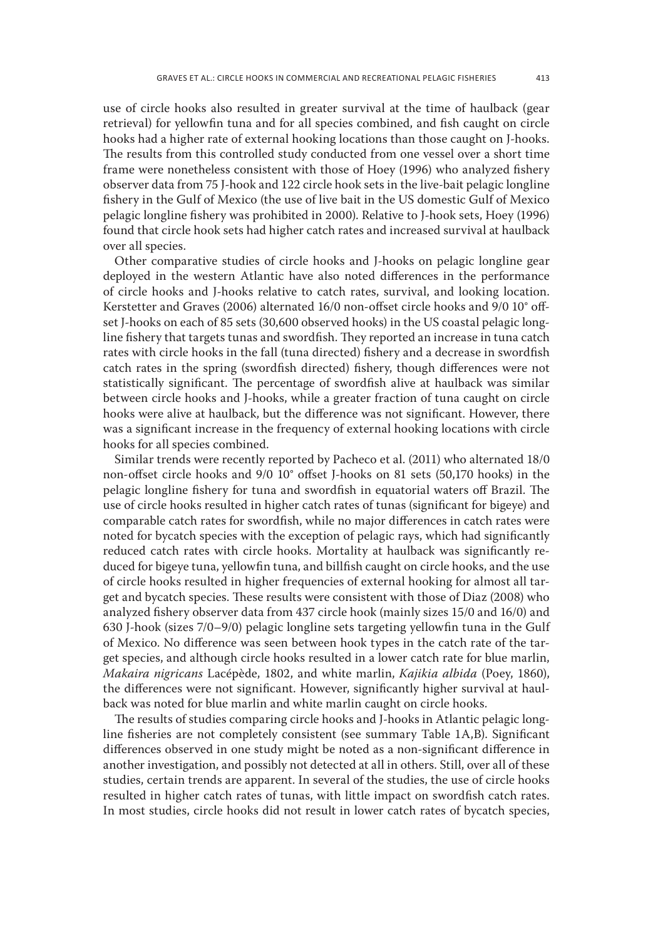use of circle hooks also resulted in greater survival at the time of haulback (gear retrieval) for yellowfin tuna and for all species combined, and fish caught on circle hooks had a higher rate of external hooking locations than those caught on J-hooks. The results from this controlled study conducted from one vessel over a short time frame were nonetheless consistent with those of Hoey (1996) who analyzed fishery observer data from 75 J-hook and 122 circle hook sets in the live-bait pelagic longline fishery in the Gulf of Mexico (the use of live bait in the US domestic Gulf of Mexico pelagic longline fishery was prohibited in 2000). Relative to J-hook sets, Hoey (1996) found that circle hook sets had higher catch rates and increased survival at haulback over all species.

Other comparative studies of circle hooks and J-hooks on pelagic longline gear deployed in the western Atlantic have also noted differences in the performance of circle hooks and J-hooks relative to catch rates, survival, and looking location. Kerstetter and Graves (2006) alternated 16/0 non-offset circle hooks and 9/0 10° offset J-hooks on each of 85 sets (30,600 observed hooks) in the US coastal pelagic longline fishery that targets tunas and swordfish. They reported an increase in tuna catch rates with circle hooks in the fall (tuna directed) fishery and a decrease in swordfish catch rates in the spring (swordfish directed) fishery, though differences were not statistically significant. The percentage of swordfish alive at haulback was similar between circle hooks and J-hooks, while a greater fraction of tuna caught on circle hooks were alive at haulback, but the difference was not significant. However, there was a significant increase in the frequency of external hooking locations with circle hooks for all species combined.

Similar trends were recently reported by Pacheco et al. (2011) who alternated 18/0 non-offset circle hooks and 9/0 10° offset J-hooks on 81 sets (50,170 hooks) in the pelagic longline fishery for tuna and swordfish in equatorial waters off Brazil. The use of circle hooks resulted in higher catch rates of tunas (significant for bigeye) and comparable catch rates for swordfish, while no major differences in catch rates were noted for bycatch species with the exception of pelagic rays, which had significantly reduced catch rates with circle hooks. Mortality at haulback was significantly reduced for bigeye tuna, yellowfin tuna, and billfish caught on circle hooks, and the use of circle hooks resulted in higher frequencies of external hooking for almost all target and bycatch species. These results were consistent with those of Diaz (2008) who analyzed fishery observer data from 437 circle hook (mainly sizes 15/0 and 16/0) and 630 J-hook (sizes 7/0–9/0) pelagic longline sets targeting yellowfin tuna in the Gulf of Mexico. No difference was seen between hook types in the catch rate of the target species, and although circle hooks resulted in a lower catch rate for blue marlin, *Makaira nigricans* Lacépède, 1802, and white marlin, *Kajikia albida* (Poey, 1860), the differences were not significant. However, significantly higher survival at haulback was noted for blue marlin and white marlin caught on circle hooks.

The results of studies comparing circle hooks and J-hooks in Atlantic pelagic longline fisheries are not completely consistent (see summary Table 1A,B). Significant differences observed in one study might be noted as a non-significant difference in another investigation, and possibly not detected at all in others. Still, over all of these studies, certain trends are apparent. In several of the studies, the use of circle hooks resulted in higher catch rates of tunas, with little impact on swordfish catch rates. In most studies, circle hooks did not result in lower catch rates of bycatch species,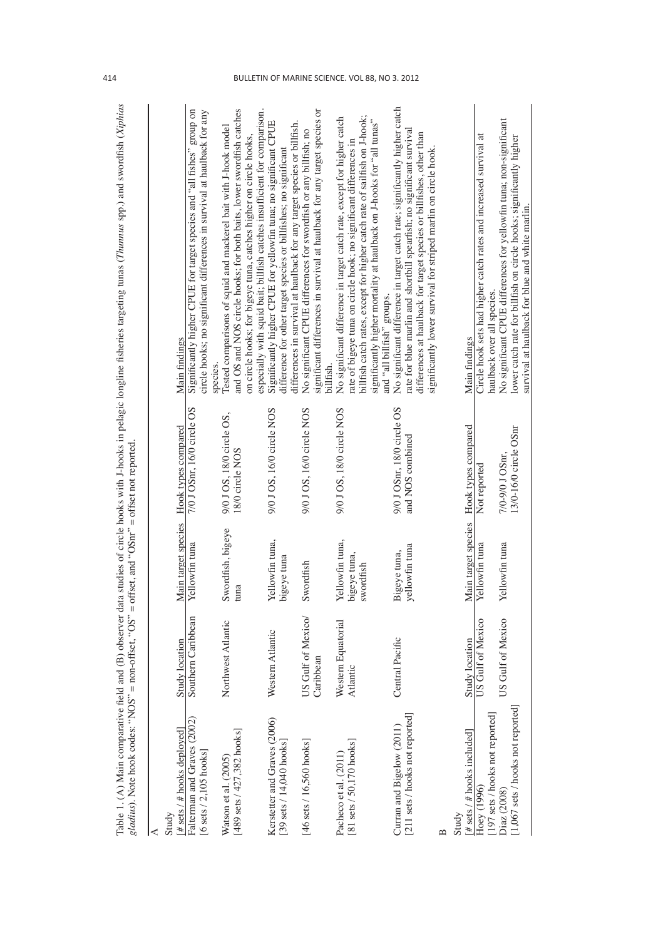| i<br>š<br>į<br>ţ<br>ĺ<br>ł<br>İ<br>i<br>l                          |                                                                                                                                                                                                                 |
|--------------------------------------------------------------------|-----------------------------------------------------------------------------------------------------------------------------------------------------------------------------------------------------------------|
| haman<br>$-20$ and $-20$<br><b>THE PART</b><br>i<br>j              | $\frac{1}{2}$                                                                                                                                                                                                   |
| $\frac{1}{2}$<br>¢<br>i<br>t<br>S<br>j<br>i                        | <b>11</b><br>Ī<br>l<br>$  -$<br>֧֧֧֧֧֧֧ׅׅ֧֧֧֦֧֧֧֚֚֚֚֚֚֚֚֚֚֚֚֚֚֚֚֚֚֚֚֚֚֚֚֚֚֚֚֚֚֚֚֚֚֝֝֝֓֝֓֓֡֓֡֓֡֓֞֡֓֡֡֬֡֓֝֬֞֝֬֞֝֬<br>$\frac{1}{2}$<br>Ì<br>$\frac{1}{2}$<br>l<br>i<br>$\frac{4}{\sqrt{2}}$<br>$\overline{1}$<br>l |
| ļ<br>ê<br>þ<br>ţ<br>j<br>ł<br>I<br>i<br>١<br>ı<br>ł<br>j<br>j<br>ı | Š<br>insel<br>non-off<br>ÌI<br>ŕ<br>$\overline{\mathbf{C}}$<br>١<br>֚֚֬<br>ac.<br>ׇ֬֘֡<br>I<br>j<br>j<br>í<br>ţ<br>ļ<br>$\overline{a}$<br>i<br>Ξ<br>ţ<br>.<br>.<br>.<br>.<br>ļ                                  |

| $\#$ sets / $\#$ hooks deployed]<br>Study                                                                                         | Study location                  |                                              | Main target species Hook types compared        | Main findings                                                                                                                                                                                                                                                                                                                    |
|-----------------------------------------------------------------------------------------------------------------------------------|---------------------------------|----------------------------------------------|------------------------------------------------|----------------------------------------------------------------------------------------------------------------------------------------------------------------------------------------------------------------------------------------------------------------------------------------------------------------------------------|
| Falterman and Graves (2002)<br>[6 sets $/$ 2,105 hooks]                                                                           | Southern Caribbean              | Yellowfin tuna                               | 7/0 J OSnr, 16/0 circle OS                     | Significantly higher CPUE for target species and "all fishes" group on<br>circle hooks; no significant differences in survival at haulback for any<br>species                                                                                                                                                                    |
| Watson et al. (2005)<br>[489 sets / 427,382 hooks]                                                                                | Northwest Atlantic              | Swordfish, bigeye<br>tuna                    | 9/0 J OS, 18/0 circle OS,<br>18/0 circle NOS   | and OS and NOS circle hooks; for both baits, lower swordfish catches<br>especially with squid bait; billfish catches insufficient for comparison.<br>Tested comparisons of squid and mackerel bait with J-hook model<br>on circle hooks; for bigeye tuna, catches higher on circle hooks.                                        |
| Kerstetter and Graves (2006)<br>39 sets / 14,040 hooks                                                                            | Western Atlantic                | Yellowfin tuna,<br>bigeye tuna               | 9/0 J OS, 16/0 circle NOS                      | Significantly higher CPUE for yellowfin tuna; no significant CPUE<br>differences in survival at haulback for any target species or billfish.<br>difference for other target species or billfishes; no significant                                                                                                                |
| [46 sets $/$ 16,560 hooks]                                                                                                        | US Gulf of Mexico/<br>Caribbean | Swordfish                                    | 9/0 J OS, 16/0 circle NOS                      | significant differences in survival at haulback for any target species or<br>No significant CPUE differences for swordfish or any billfish; no<br>billfish.                                                                                                                                                                      |
| [81 sets / 50,170 hooks]<br>Pacheco et al. (2011)                                                                                 | Western Equatorial<br>Atlantic  | Yellowfin tuna,<br>bigeye tuna,<br>swordfish | 9/0 J OS, 18/0 circle NOS                      | billfish catch rates, except for higher catch rate of sailfish on J-hook;<br>No significant difference in target catch rate, except for higher catch<br>significantly higher mortality at haulback on J-hooks for "all tunas"<br>rate of bigeye tuna on circle hook; no significant differences in<br>and "all billfish" groups. |
| [211 sets / hooks not reported]<br>Curran and Bigelow (2011)                                                                      | Central Pacific                 | yellowfin tuna<br>Bigeye tuna,               | 9/0 J OSnr, 18/0 circle OS<br>and NOS combined | No significant difference in target catch rate; significantly higher catch<br>rate for blue marlin and shortbill spearfish; no significant survival<br>differences at haulback for target species or billfishes, other than<br>significantly lower survival for striped marlin on circle hook                                    |
|                                                                                                                                   |                                 |                                              |                                                |                                                                                                                                                                                                                                                                                                                                  |
| Study                                                                                                                             | Study location                  |                                              | Main target species Hook types compared        | Main findings                                                                                                                                                                                                                                                                                                                    |
| [197 sets / hooks not reported]<br>$\begin{array}{l} [\text{\# sets}/\text{\# hooks included}] \\ \text{Hoey (1996)} \end{array}$ | US Gulf of Mexico               | Yellowfin tuna                               | Not reported                                   | Circle hook sets had higher catch rates and increased survival at<br>haulback over all species.                                                                                                                                                                                                                                  |
| [1,067 sets / hooks not reported]<br>Diaz (2008)                                                                                  | US Gulf of Mexico               | Yellowfin tuna                               | 13/0-16/0 circle OSnr<br>7/0-9/0 J OSnr,       | No significant CPUE differences for yellowfin tuna; non-significant<br>lower catch rate for billfish on circle hooks; significantly higher<br>survival at haulback for blue and white marlin.                                                                                                                                    |
|                                                                                                                                   |                                 |                                              |                                                |                                                                                                                                                                                                                                                                                                                                  |

 $\overline{\phantom{a}}$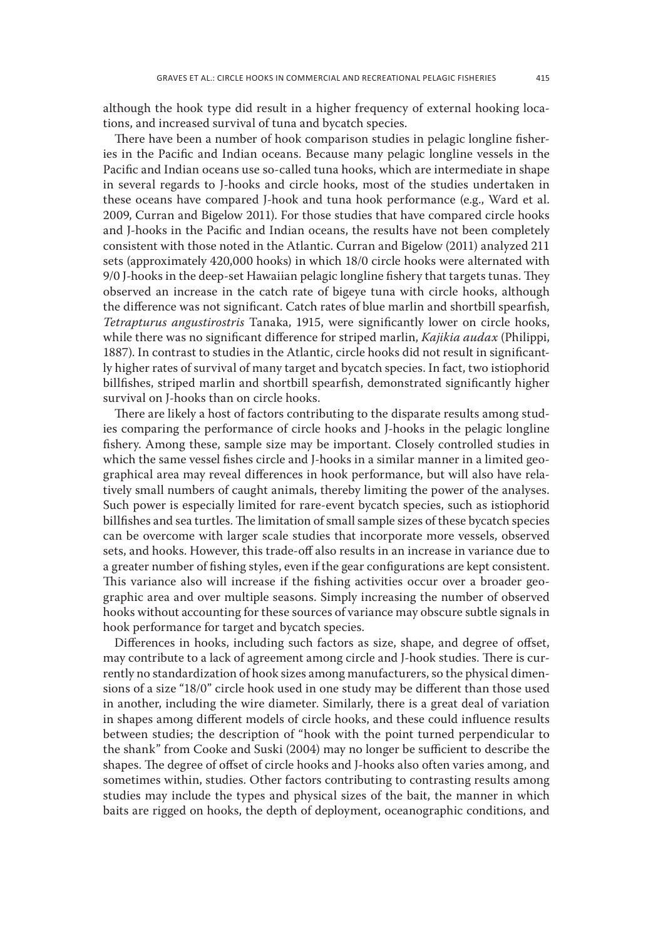although the hook type did result in a higher frequency of external hooking locations, and increased survival of tuna and bycatch species.

There have been a number of hook comparison studies in pelagic longline fisheries in the Pacific and Indian oceans. Because many pelagic longline vessels in the Pacific and Indian oceans use so-called tuna hooks, which are intermediate in shape in several regards to J-hooks and circle hooks, most of the studies undertaken in these oceans have compared J-hook and tuna hook performance (e.g., Ward et al. 2009, Curran and Bigelow 2011). For those studies that have compared circle hooks and J-hooks in the Pacific and Indian oceans, the results have not been completely consistent with those noted in the Atlantic. Curran and Bigelow (2011) analyzed 211 sets (approximately 420,000 hooks) in which 18/0 circle hooks were alternated with 9/0 J-hooks in the deep-set Hawaiian pelagic longline fishery that targets tunas. They observed an increase in the catch rate of bigeye tuna with circle hooks, although the difference was not significant. Catch rates of blue marlin and shortbill spearfish, *Tetrapturus angustirostris* Tanaka, 1915, were significantly lower on circle hooks, while there was no significant difference for striped marlin, *Kajikia audax* (Philippi, 1887). In contrast to studies in the Atlantic, circle hooks did not result in significantly higher rates of survival of many target and bycatch species. In fact, two istiophorid billfishes, striped marlin and shortbill spearfish, demonstrated significantly higher survival on J-hooks than on circle hooks.

There are likely a host of factors contributing to the disparate results among studies comparing the performance of circle hooks and J-hooks in the pelagic longline fishery. Among these, sample size may be important. Closely controlled studies in which the same vessel fishes circle and J-hooks in a similar manner in a limited geographical area may reveal differences in hook performance, but will also have relatively small numbers of caught animals, thereby limiting the power of the analyses. Such power is especially limited for rare-event bycatch species, such as istiophorid billfishes and sea turtles. The limitation of small sample sizes of these bycatch species can be overcome with larger scale studies that incorporate more vessels, observed sets, and hooks. However, this trade-off also results in an increase in variance due to a greater number of fishing styles, even if the gear configurations are kept consistent. This variance also will increase if the fishing activities occur over a broader geographic area and over multiple seasons. Simply increasing the number of observed hooks without accounting for these sources of variance may obscure subtle signals in hook performance for target and bycatch species.

Differences in hooks, including such factors as size, shape, and degree of offset, may contribute to a lack of agreement among circle and J-hook studies. There is currently no standardization of hook sizes among manufacturers, so the physical dimensions of a size "18/0" circle hook used in one study may be different than those used in another, including the wire diameter. Similarly, there is a great deal of variation in shapes among different models of circle hooks, and these could influence results between studies; the description of "hook with the point turned perpendicular to the shank" from Cooke and Suski (2004) may no longer be sufficient to describe the shapes. The degree of offset of circle hooks and J-hooks also often varies among, and sometimes within, studies. Other factors contributing to contrasting results among studies may include the types and physical sizes of the bait, the manner in which baits are rigged on hooks, the depth of deployment, oceanographic conditions, and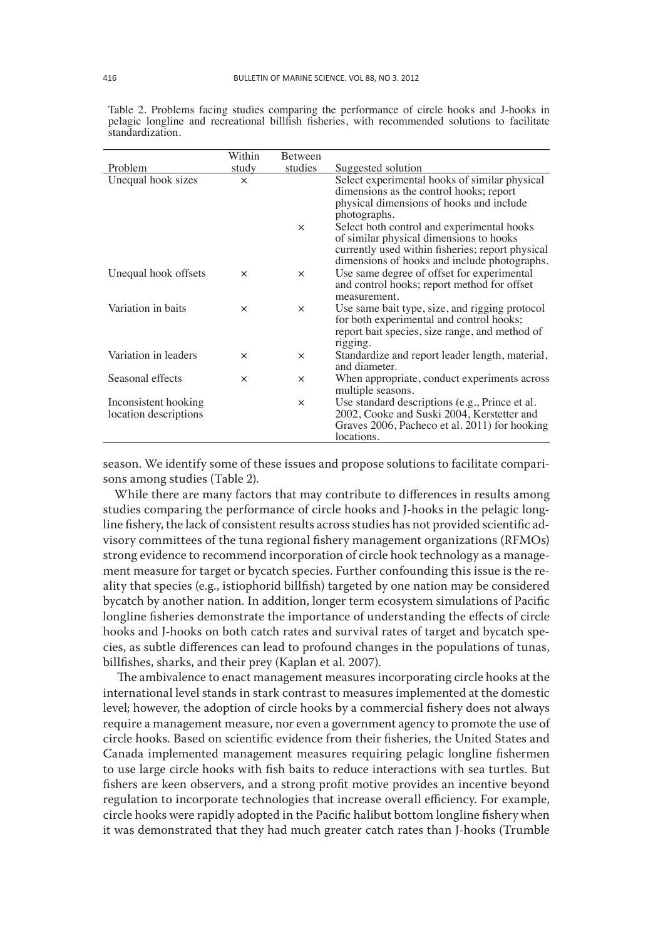|                                               | Within   | Between  |                                                                                                                                                                                           |
|-----------------------------------------------|----------|----------|-------------------------------------------------------------------------------------------------------------------------------------------------------------------------------------------|
| Problem                                       | study    | studies  | Suggested solution                                                                                                                                                                        |
| Unequal hook sizes                            | $\times$ |          | Select experimental hooks of similar physical<br>dimensions as the control hooks; report<br>physical dimensions of hooks and include<br>photographs.                                      |
|                                               |          | $\times$ | Select both control and experimental hooks<br>of similar physical dimensions to hooks<br>currently used within fisheries; report physical<br>dimensions of hooks and include photographs. |
| Unequal hook offsets                          | $\times$ | $\times$ | Use same degree of offset for experimental<br>and control hooks; report method for offset<br>measurement.                                                                                 |
| Variation in baits                            | $\times$ | $\times$ | Use same bait type, size, and rigging protocol<br>for both experimental and control hooks;<br>report bait species, size range, and method of<br>rigging.                                  |
| Variation in leaders                          | $\times$ | $\times$ | Standardize and report leader length, material,<br>and diameter.                                                                                                                          |
| Seasonal effects                              | $\times$ | $\times$ | When appropriate, conduct experiments across<br>multiple seasons.                                                                                                                         |
| Inconsistent hooking<br>location descriptions |          | $\times$ | Use standard descriptions (e.g., Prince et al.<br>2002, Cooke and Suski 2004, Kerstetter and<br>Graves 2006, Pacheco et al. 2011) for hooking<br>locations.                               |

Table 2. Problems facing studies comparing the performance of circle hooks and J-hooks in pelagic longline and recreational billfish fisheries, with recommended solutions to facilitate standardization.

season. We identify some of these issues and propose solutions to facilitate comparisons among studies (Table 2).

While there are many factors that may contribute to differences in results among studies comparing the performance of circle hooks and J-hooks in the pelagic longline fishery, the lack of consistent results across studies has not provided scientific advisory committees of the tuna regional fishery management organizations (RFMOs) strong evidence to recommend incorporation of circle hook technology as a management measure for target or bycatch species. Further confounding this issue is the reality that species (e.g., istiophorid billfish) targeted by one nation may be considered bycatch by another nation. In addition, longer term ecosystem simulations of Pacific longline fisheries demonstrate the importance of understanding the effects of circle hooks and J-hooks on both catch rates and survival rates of target and bycatch species, as subtle differences can lead to profound changes in the populations of tunas, billfishes, sharks, and their prey (Kaplan et al. 2007).

 The ambivalence to enact management measures incorporating circle hooks at the international level stands in stark contrast to measures implemented at the domestic level; however, the adoption of circle hooks by a commercial fishery does not always require a management measure, nor even a government agency to promote the use of circle hooks. Based on scientific evidence from their fisheries, the United States and Canada implemented management measures requiring pelagic longline fishermen to use large circle hooks with fish baits to reduce interactions with sea turtles. But fishers are keen observers, and a strong profit motive provides an incentive beyond regulation to incorporate technologies that increase overall efficiency. For example, circle hooks were rapidly adopted in the Pacific halibut bottom longline fishery when it was demonstrated that they had much greater catch rates than J-hooks (Trumble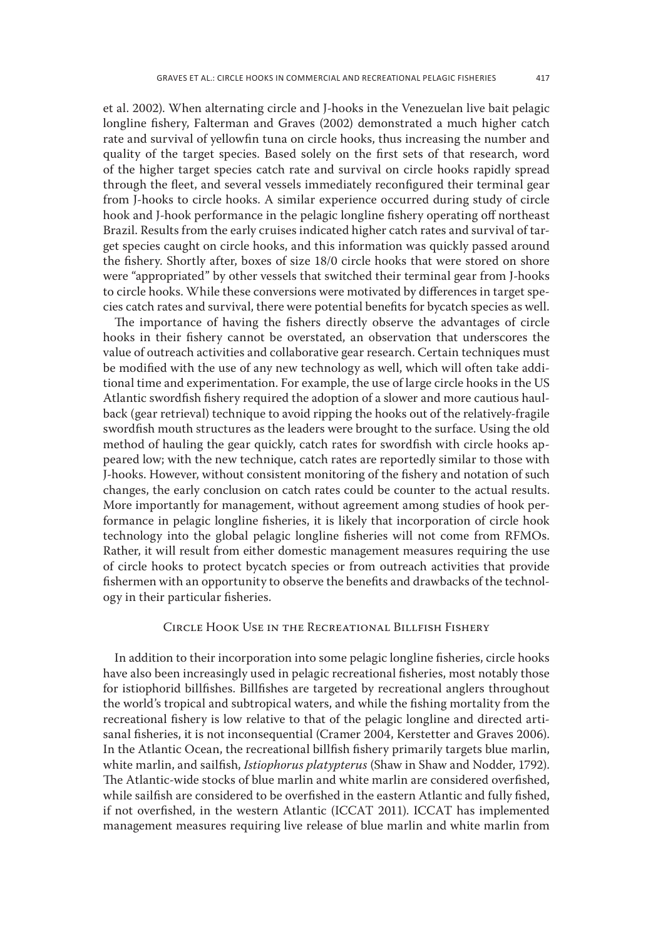et al. 2002). When alternating circle and J-hooks in the Venezuelan live bait pelagic longline fishery, Falterman and Graves (2002) demonstrated a much higher catch rate and survival of yellowfin tuna on circle hooks, thus increasing the number and quality of the target species. Based solely on the first sets of that research, word of the higher target species catch rate and survival on circle hooks rapidly spread through the fleet, and several vessels immediately reconfigured their terminal gear from J-hooks to circle hooks. A similar experience occurred during study of circle hook and J-hook performance in the pelagic longline fishery operating off northeast Brazil. Results from the early cruises indicated higher catch rates and survival of target species caught on circle hooks, and this information was quickly passed around the fishery. Shortly after, boxes of size 18/0 circle hooks that were stored on shore were "appropriated" by other vessels that switched their terminal gear from J-hooks to circle hooks. While these conversions were motivated by differences in target species catch rates and survival, there were potential benefits for bycatch species as well.

The importance of having the fishers directly observe the advantages of circle hooks in their fishery cannot be overstated, an observation that underscores the value of outreach activities and collaborative gear research. Certain techniques must be modified with the use of any new technology as well, which will often take additional time and experimentation. For example, the use of large circle hooks in the US Atlantic swordfish fishery required the adoption of a slower and more cautious haulback (gear retrieval) technique to avoid ripping the hooks out of the relatively-fragile swordfish mouth structures as the leaders were brought to the surface. Using the old method of hauling the gear quickly, catch rates for swordfish with circle hooks appeared low; with the new technique, catch rates are reportedly similar to those with J-hooks. However, without consistent monitoring of the fishery and notation of such changes, the early conclusion on catch rates could be counter to the actual results. More importantly for management, without agreement among studies of hook performance in pelagic longline fisheries, it is likely that incorporation of circle hook technology into the global pelagic longline fisheries will not come from RFMOs. Rather, it will result from either domestic management measures requiring the use of circle hooks to protect bycatch species or from outreach activities that provide fishermen with an opportunity to observe the benefits and drawbacks of the technology in their particular fisheries.

### Circle Hook Use in the Recreational Billfish Fishery

In addition to their incorporation into some pelagic longline fisheries, circle hooks have also been increasingly used in pelagic recreational fisheries, most notably those for istiophorid billfishes. Billfishes are targeted by recreational anglers throughout the world's tropical and subtropical waters, and while the fishing mortality from the recreational fishery is low relative to that of the pelagic longline and directed artisanal fisheries, it is not inconsequential (Cramer 2004, Kerstetter and Graves 2006). In the Atlantic Ocean, the recreational billfish fishery primarily targets blue marlin, white marlin, and sailfish, *Istiophorus platypterus* (Shaw in Shaw and Nodder, 1792). The Atlantic-wide stocks of blue marlin and white marlin are considered overfished, while sailfish are considered to be overfished in the eastern Atlantic and fully fished, if not overfished, in the western Atlantic (ICCAT 2011). ICCAT has implemented management measures requiring live release of blue marlin and white marlin from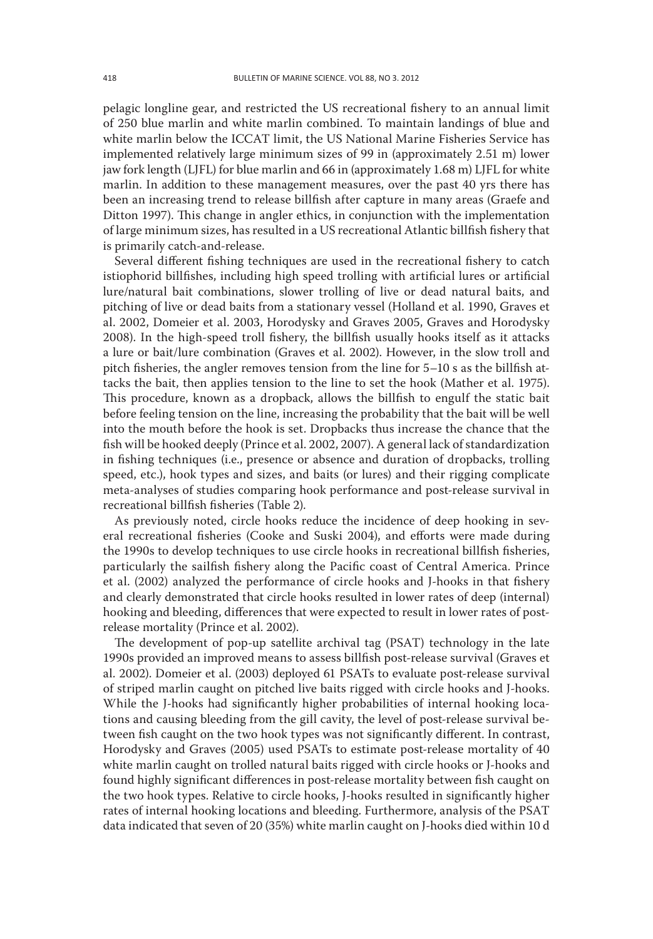pelagic longline gear, and restricted the US recreational fishery to an annual limit of 250 blue marlin and white marlin combined. To maintain landings of blue and white marlin below the ICCAT limit, the US National Marine Fisheries Service has implemented relatively large minimum sizes of 99 in (approximately 2.51 m) lower jaw fork length (LJFL) for blue marlin and 66 in (approximately 1.68 m) LJFL for white marlin. In addition to these management measures, over the past 40 yrs there has been an increasing trend to release billfish after capture in many areas (Graefe and Ditton 1997). This change in angler ethics, in conjunction with the implementation of large minimum sizes, has resulted in a US recreational Atlantic billfish fishery that is primarily catch-and-release.

Several different fishing techniques are used in the recreational fishery to catch istiophorid billfishes, including high speed trolling with artificial lures or artificial lure/natural bait combinations, slower trolling of live or dead natural baits, and pitching of live or dead baits from a stationary vessel (Holland et al. 1990, Graves et al. 2002, Domeier et al. 2003, Horodysky and Graves 2005, Graves and Horodysky 2008). In the high-speed troll fishery, the billfish usually hooks itself as it attacks a lure or bait/lure combination (Graves et al. 2002). However, in the slow troll and pitch fisheries, the angler removes tension from the line for 5–10 s as the billfish attacks the bait, then applies tension to the line to set the hook (Mather et al. 1975). This procedure, known as a dropback, allows the billfish to engulf the static bait before feeling tension on the line, increasing the probability that the bait will be well into the mouth before the hook is set. Dropbacks thus increase the chance that the fish will be hooked deeply (Prince et al. 2002, 2007). A general lack of standardization in fishing techniques (i.e., presence or absence and duration of dropbacks, trolling speed, etc.), hook types and sizes, and baits (or lures) and their rigging complicate meta-analyses of studies comparing hook performance and post-release survival in recreational billfish fisheries (Table 2).

As previously noted, circle hooks reduce the incidence of deep hooking in several recreational fisheries (Cooke and Suski 2004), and efforts were made during the 1990s to develop techniques to use circle hooks in recreational billfish fisheries, particularly the sailfish fishery along the Pacific coast of Central America. Prince et al. (2002) analyzed the performance of circle hooks and J-hooks in that fishery and clearly demonstrated that circle hooks resulted in lower rates of deep (internal) hooking and bleeding, differences that were expected to result in lower rates of postrelease mortality (Prince et al. 2002).

The development of pop-up satellite archival tag (PSAT) technology in the late 1990s provided an improved means to assess billfish post-release survival (Graves et al. 2002). Domeier et al. (2003) deployed 61 PSATs to evaluate post-release survival of striped marlin caught on pitched live baits rigged with circle hooks and J-hooks. While the J-hooks had significantly higher probabilities of internal hooking locations and causing bleeding from the gill cavity, the level of post-release survival between fish caught on the two hook types was not significantly different. In contrast, Horodysky and Graves (2005) used PSATs to estimate post-release mortality of 40 white marlin caught on trolled natural baits rigged with circle hooks or J-hooks and found highly significant differences in post-release mortality between fish caught on the two hook types. Relative to circle hooks, J-hooks resulted in significantly higher rates of internal hooking locations and bleeding. Furthermore, analysis of the PSAT data indicated that seven of 20 (35%) white marlin caught on J-hooks died within 10 d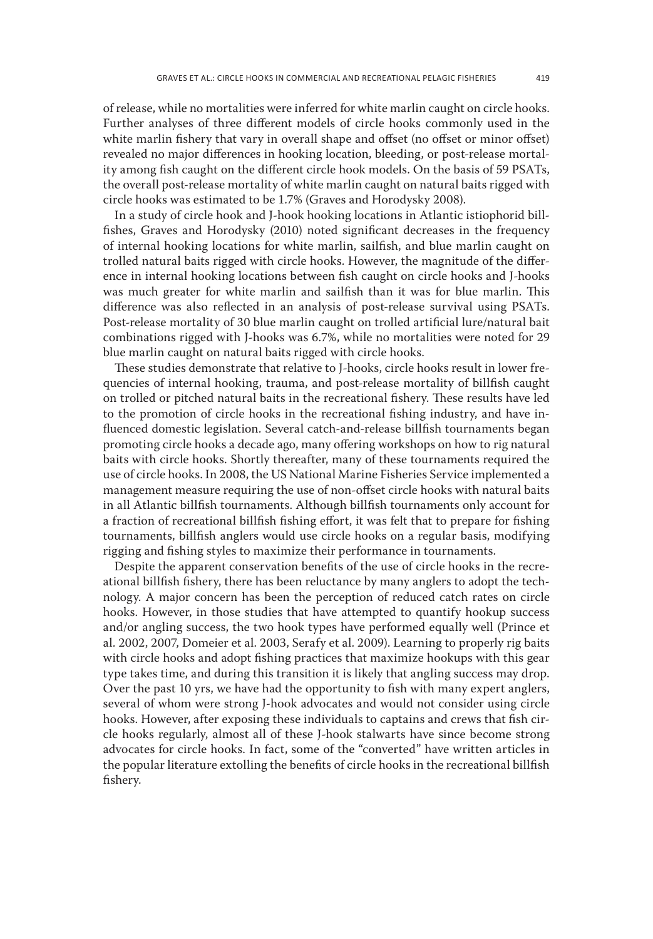of release, while no mortalities were inferred for white marlin caught on circle hooks. Further analyses of three different models of circle hooks commonly used in the white marlin fishery that vary in overall shape and offset (no offset or minor offset) revealed no major differences in hooking location, bleeding, or post-release mortality among fish caught on the different circle hook models. On the basis of 59 PSATs, the overall post-release mortality of white marlin caught on natural baits rigged with circle hooks was estimated to be 1.7% (Graves and Horodysky 2008).

In a study of circle hook and J-hook hooking locations in Atlantic istiophorid billfishes, Graves and Horodysky (2010) noted significant decreases in the frequency of internal hooking locations for white marlin, sailfish, and blue marlin caught on trolled natural baits rigged with circle hooks. However, the magnitude of the difference in internal hooking locations between fish caught on circle hooks and J-hooks was much greater for white marlin and sailfish than it was for blue marlin. This difference was also reflected in an analysis of post-release survival using PSATs. Post-release mortality of 30 blue marlin caught on trolled artificial lure/natural bait combinations rigged with J-hooks was 6.7%, while no mortalities were noted for 29 blue marlin caught on natural baits rigged with circle hooks.

These studies demonstrate that relative to J-hooks, circle hooks result in lower frequencies of internal hooking, trauma, and post-release mortality of billfish caught on trolled or pitched natural baits in the recreational fishery. These results have led to the promotion of circle hooks in the recreational fishing industry, and have influenced domestic legislation. Several catch-and-release billfish tournaments began promoting circle hooks a decade ago, many offering workshops on how to rig natural baits with circle hooks. Shortly thereafter, many of these tournaments required the use of circle hooks. In 2008, the US National Marine Fisheries Service implemented a management measure requiring the use of non-offset circle hooks with natural baits in all Atlantic billfish tournaments. Although billfish tournaments only account for a fraction of recreational billfish fishing effort, it was felt that to prepare for fishing tournaments, billfish anglers would use circle hooks on a regular basis, modifying rigging and fishing styles to maximize their performance in tournaments.

Despite the apparent conservation benefits of the use of circle hooks in the recreational billfish fishery, there has been reluctance by many anglers to adopt the technology. A major concern has been the perception of reduced catch rates on circle hooks. However, in those studies that have attempted to quantify hookup success and/or angling success, the two hook types have performed equally well (Prince et al. 2002, 2007, Domeier et al. 2003, Serafy et al. 2009). Learning to properly rig baits with circle hooks and adopt fishing practices that maximize hookups with this gear type takes time, and during this transition it is likely that angling success may drop. Over the past 10 yrs, we have had the opportunity to fish with many expert anglers, several of whom were strong J-hook advocates and would not consider using circle hooks. However, after exposing these individuals to captains and crews that fish circle hooks regularly, almost all of these J-hook stalwarts have since become strong advocates for circle hooks. In fact, some of the "converted" have written articles in the popular literature extolling the benefits of circle hooks in the recreational billfish fishery.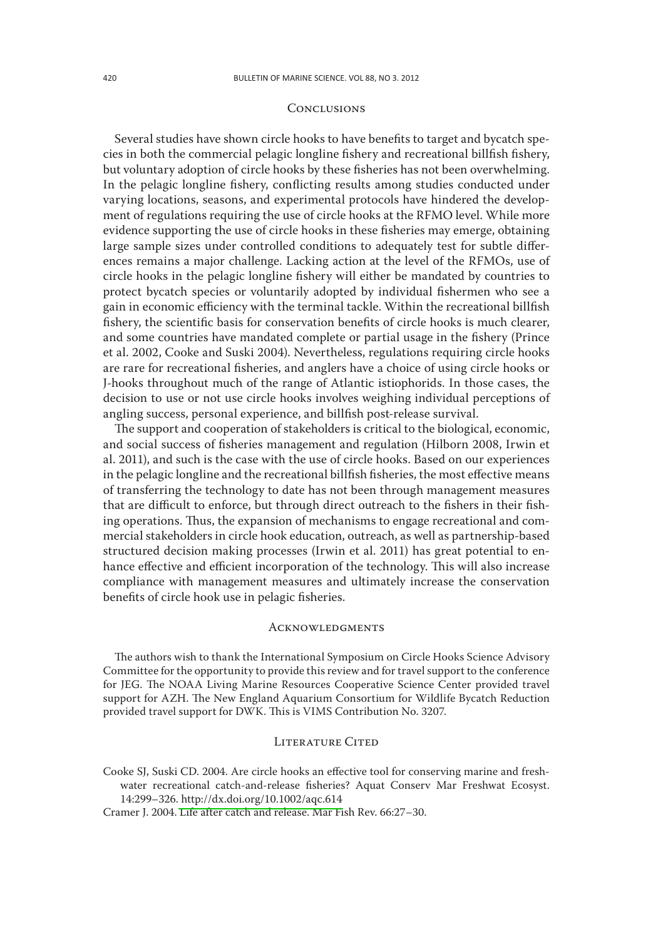#### **CONCLUSIONS**

Several studies have shown circle hooks to have benefits to target and bycatch species in both the commercial pelagic longline fishery and recreational billfish fishery, but voluntary adoption of circle hooks by these fisheries has not been overwhelming. In the pelagic longline fishery, conflicting results among studies conducted under varying locations, seasons, and experimental protocols have hindered the development of regulations requiring the use of circle hooks at the RFMO level. While more evidence supporting the use of circle hooks in these fisheries may emerge, obtaining large sample sizes under controlled conditions to adequately test for subtle differences remains a major challenge. Lacking action at the level of the RFMOs, use of circle hooks in the pelagic longline fishery will either be mandated by countries to protect bycatch species or voluntarily adopted by individual fishermen who see a gain in economic efficiency with the terminal tackle. Within the recreational billfish fishery, the scientific basis for conservation benefits of circle hooks is much clearer, and some countries have mandated complete or partial usage in the fishery (Prince et al. 2002, Cooke and Suski 2004). Nevertheless, regulations requiring circle hooks are rare for recreational fisheries, and anglers have a choice of using circle hooks or J-hooks throughout much of the range of Atlantic istiophorids. In those cases, the decision to use or not use circle hooks involves weighing individual perceptions of angling success, personal experience, and billfish post-release survival.

The support and cooperation of stakeholders is critical to the biological, economic, and social success of fisheries management and regulation (Hilborn 2008, Irwin et al. 2011), and such is the case with the use of circle hooks. Based on our experiences in the pelagic longline and the recreational billfish fisheries, the most effective means of transferring the technology to date has not been through management measures that are difficult to enforce, but through direct outreach to the fishers in their fishing operations. Thus, the expansion of mechanisms to engage recreational and commercial stakeholders in circle hook education, outreach, as well as partnership-based structured decision making processes (Irwin et al. 2011) has great potential to enhance effective and efficient incorporation of the technology. This will also increase compliance with management measures and ultimately increase the conservation benefits of circle hook use in pelagic fisheries.

#### **ACKNOWLEDGMENTS**

The authors wish to thank the International Symposium on Circle Hooks Science Advisory Committee for the opportunity to provide this review and for travel support to the conference for JEG. The NOAA Living Marine Resources Cooperative Science Center provided travel support for AZH. The New England Aquarium Consortium for Wildlife Bycatch Reduction provided travel support for DWK. This is VIMS Contribution No. 3207.

### LITERATURE CITED

Cooke SJ, Suski CD. 2004. Are circle hooks an effective tool for conserving marine and freshwater recreational catch-and-release fisheries? Aquat Conserv Mar Freshwat Ecosyst. 14:299–326[. http://dx.doi.org/10.1002/aqc.614](http://dx.doi.org/10.1002/aqc.614)

Cramer J. 2004. Life after catch and release. Mar Fish Rev. 66:27–30.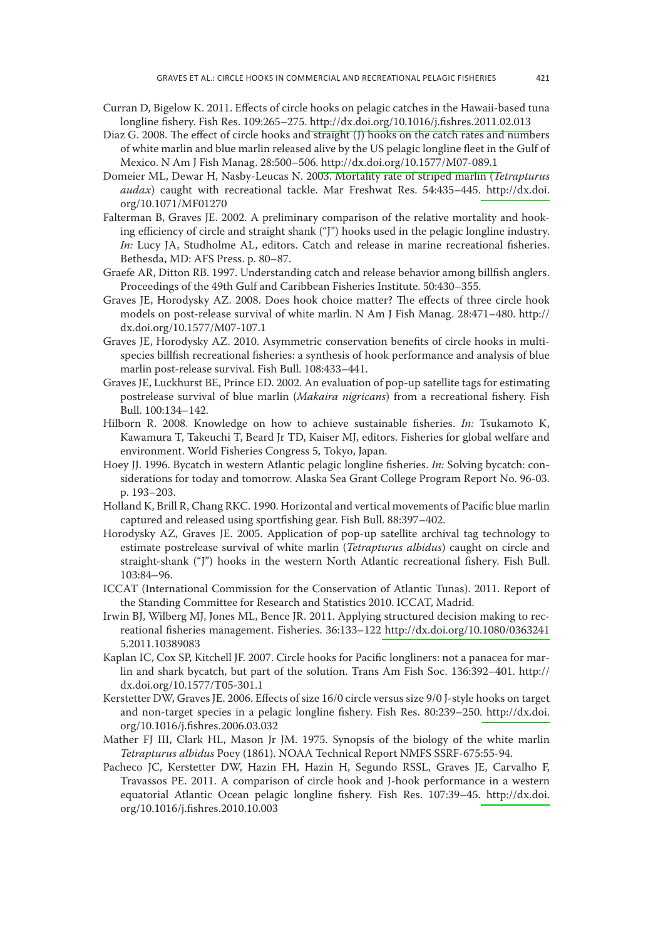- Curran D, Bigelow K. 2011. Effects of circle hooks on pelagic catches in the Hawaii-based tuna longline fishery. Fish Res. 109:265–275[. http://dx.doi.org/10.1016/j.fishres.2011.02.013](http://dx.doi.org/10.1016/j.fishres.2011.02.013)
- Diaz G. 2008. The effect of circle hooks and straight (J) hooks on the catch rates and numbers of white marlin and blue marlin released alive by the US pelagic longline fleet in the Gulf of Mexico. N Am J Fish Manag. 28:500–506[. http://dx.doi.org/10.1577/M07-089.1](http://dx.doi.org/10.1577/M07-089.1)
- Domeier ML, Dewar H, Nasby-Leucas N. 2003. Mortality rate of striped marlin (*Tetrapturus audax*) caught with recreational tackle. Mar Freshwat Res. 54:435–445. [http://dx.doi.](http://dx.doi) org/10.1071/MF01270
- Falterman B, Graves JE. 2002. A preliminary comparison of the relative mortality and hooking efficiency of circle and straight shank ("J") hooks used in the pelagic longline industry. *In:* Lucy JA, Studholme AL, editors. Catch and release in marine recreational fisheries. Bethesda, MD: AFS Press. p. 80–87.
- Graefe AR, Ditton RB. 1997. Understanding catch and release behavior among billfish anglers. Proceedings of the 49th Gulf and Caribbean Fisheries Institute. 50:430–355.
- Graves JE, Horodysky AZ. 2008. Does hook choice matter? The effects of three circle hook models on post-release survival of white marlin. N Am J Fish Manag. 28:471–480. http:// dx.doi.org/10.1577/M07-107.1
- Graves JE, Horodysky AZ. 2010. Asymmetric conservation benefits of circle hooks in multispecies billfish recreational fisheries: a synthesis of hook performance and analysis of blue marlin post-release survival. Fish Bull. 108:433–441.
- Graves JE, Luckhurst BE, Prince ED. 2002. An evaluation of pop-up satellite tags for estimating postrelease survival of blue marlin (*Makaira nigricans*) from a recreational fishery. Fish Bull. 100:134–142.
- Hilborn R. 2008. Knowledge on how to achieve sustainable fisheries. *In:* Tsukamoto K, Kawamura T, Takeuchi T, Beard Jr TD, Kaiser MJ, editors. Fisheries for global welfare and environment. World Fisheries Congress 5, Tokyo, Japan.
- Hoey JJ. 1996. Bycatch in western Atlantic pelagic longline fisheries. *In:* Solving bycatch: considerations for today and tomorrow. Alaska Sea Grant College Program Report No. 96-03. p. 193–203.
- Holland K, Brill R, Chang RKC. 1990. Horizontal and vertical movements of Pacific blue marlin captured and released using sportfishing gear. Fish Bull. 88:397–402.
- Horodysky AZ, Graves JE. 2005. Application of pop-up satellite archival tag technology to estimate postrelease survival of white marlin (*Tetrapturus albidus*) caught on circle and straight-shank ("J") hooks in the western North Atlantic recreational fishery. Fish Bull. 103:84–96.
- ICCAT (International Commission for the Conservation of Atlantic Tunas). 2011. Report of the Standing Committee for Research and Statistics 2010. ICCAT, Madrid.
- Irwin BJ, Wilberg MJ, Jones ML, Bence JR. 2011. Applying structured decision making to recreational fisheries management. Fisheries. 36:133–122<http://dx.doi.org/10.1080/0363241> 5.2011.10389083
- Kaplan IC, Cox SP, Kitchell JF. 2007. Circle hooks for Pacific longliners: not a panacea for marlin and shark bycatch, but part of the solution. Trans Am Fish Soc. 136:392–401. http:// dx.doi.org/10.1577/T05-301.1
- Kerstetter DW, Graves JE. 2006. Effects of size 16/0 circle versus size 9/0 J-style hooks on target and non-target species in a pelagic longline fishery. Fish Res. 80:239–250[. http://dx.doi.](http://dx.doi) org/10.1016/j.fishres.2006.03.032
- Mather FJ III, Clark HL, Mason Jr JM. 1975. Synopsis of the biology of the white marlin *Tetrapturus albidus* Poey (1861). NOAA Technical Report NMFS SSRF-675:55-94.
- Pacheco JC, Kerstetter DW, Hazin FH, Hazin H, Segundo RSSL, Graves JE, Carvalho F, Travassos PE. 2011. A comparison of circle hook and J-hook performance in a western equatorial Atlantic Ocean pelagic longline fishery. Fish Res. 107:39–45. [http://dx.doi.](http://dx.doi) org/10.1016/j.fishres.2010.10.003